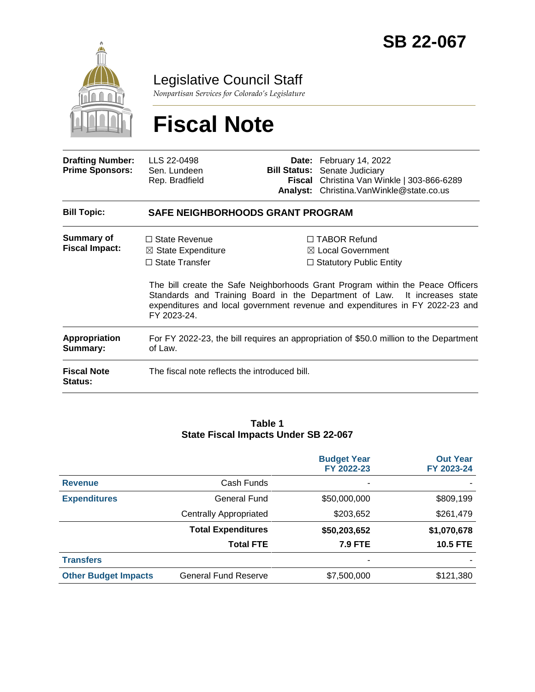

# Legislative Council Staff

*Nonpartisan Services for Colorado's Legislature*

# **Fiscal Note**

| <b>Drafting Number:</b><br><b>Prime Sponsors:</b> | LLS 22-0498<br>Sen. Lundeen<br>Rep. Bradfield                                                     |  | Date: February 14, 2022<br><b>Bill Status:</b> Senate Judiciary<br>Fiscal Christina Van Winkle   303-866-6289<br>Analyst: Christina. Van Winkle@state.co.us                                                                                                                                                                          |  |  |  |
|---------------------------------------------------|---------------------------------------------------------------------------------------------------|--|--------------------------------------------------------------------------------------------------------------------------------------------------------------------------------------------------------------------------------------------------------------------------------------------------------------------------------------|--|--|--|
| <b>Bill Topic:</b>                                | <b>SAFE NEIGHBORHOODS GRANT PROGRAM</b>                                                           |  |                                                                                                                                                                                                                                                                                                                                      |  |  |  |
| <b>Summary of</b><br><b>Fiscal Impact:</b>        | $\Box$ State Revenue<br>$\boxtimes$ State Expenditure<br>$\Box$ State Transfer<br>FY 2023-24.     |  | $\Box$ TABOR Refund<br>$\boxtimes$ Local Government<br>$\Box$ Statutory Public Entity<br>The bill create the Safe Neighborhoods Grant Program within the Peace Officers<br>Standards and Training Board in the Department of Law. It increases state<br>expenditures and local government revenue and expenditures in FY 2022-23 and |  |  |  |
| Appropriation<br>Summary:                         | For FY 2022-23, the bill requires an appropriation of \$50.0 million to the Department<br>of Law. |  |                                                                                                                                                                                                                                                                                                                                      |  |  |  |
| <b>Fiscal Note</b><br><b>Status:</b>              | The fiscal note reflects the introduced bill.                                                     |  |                                                                                                                                                                                                                                                                                                                                      |  |  |  |

#### **Table 1 State Fiscal Impacts Under SB 22-067**

|                             |                               | <b>Budget Year</b><br>FY 2022-23 | <b>Out Year</b><br>FY 2023-24 |
|-----------------------------|-------------------------------|----------------------------------|-------------------------------|
| <b>Revenue</b>              | Cash Funds                    | ۰                                |                               |
| <b>Expenditures</b>         | <b>General Fund</b>           | \$50,000,000                     | \$809,199                     |
|                             | <b>Centrally Appropriated</b> | \$203,652                        | \$261,479                     |
|                             | <b>Total Expenditures</b>     | \$50,203,652                     | \$1,070,678                   |
|                             | <b>Total FTE</b>              | <b>7.9 FTE</b>                   | <b>10.5 FTE</b>               |
| <b>Transfers</b>            |                               | ۰                                |                               |
| <b>Other Budget Impacts</b> | <b>General Fund Reserve</b>   | \$7,500,000                      | \$121,380                     |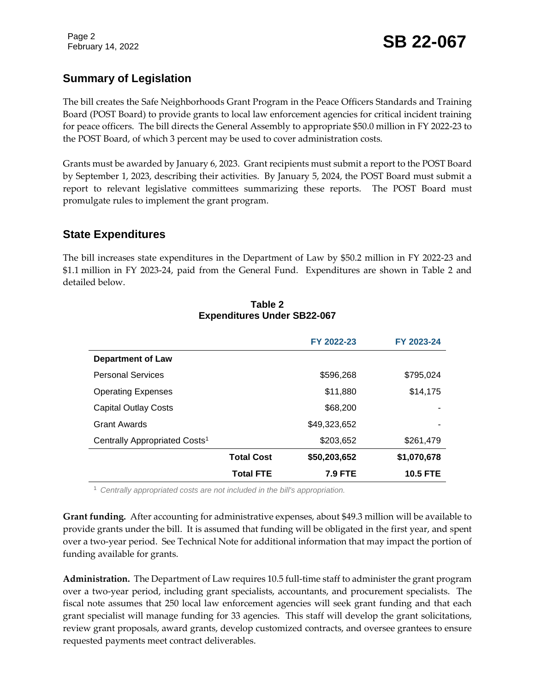## **Summary of Legislation**

The bill creates the Safe Neighborhoods Grant Program in the Peace Officers Standards and Training Board (POST Board) to provide grants to local law enforcement agencies for critical incident training for peace officers. The bill directs the General Assembly to appropriate \$50.0 million in FY 2022-23 to the POST Board, of which 3 percent may be used to cover administration costs.

Grants must be awarded by January 6, 2023. Grant recipients must submit a report to the POST Board by September 1, 2023, describing their activities. By January 5, 2024, the POST Board must submit a report to relevant legislative committees summarizing these reports. The POST Board must promulgate rules to implement the grant program.

#### **State Expenditures**

The bill increases state expenditures in the Department of Law by \$50.2 million in FY 2022-23 and \$1.1 million in FY 2023-24, paid from the General Fund. Expenditures are shown in Table 2 and detailed below.

|                                           |                   | FY 2022-23     | FY 2023-24      |
|-------------------------------------------|-------------------|----------------|-----------------|
| <b>Department of Law</b>                  |                   |                |                 |
| <b>Personal Services</b>                  |                   | \$596,268      | \$795,024       |
| <b>Operating Expenses</b>                 |                   | \$11,880       | \$14,175        |
| <b>Capital Outlay Costs</b>               |                   | \$68,200       |                 |
| <b>Grant Awards</b>                       |                   | \$49,323,652   | ۰               |
| Centrally Appropriated Costs <sup>1</sup> |                   | \$203,652      | \$261,479       |
|                                           | <b>Total Cost</b> | \$50,203,652   | \$1,070,678     |
|                                           | <b>Total FTE</b>  | <b>7.9 FTE</b> | <b>10.5 FTE</b> |

#### **Table 2 Expenditures Under SB22-067**

<sup>1</sup> *Centrally appropriated costs are not included in the bill's appropriation.*

**Grant funding.** After accounting for administrative expenses, about \$49.3 million will be available to provide grants under the bill. It is assumed that funding will be obligated in the first year, and spent over a two-year period. See Technical Note for additional information that may impact the portion of funding available for grants.

**Administration.** The Department of Law requires 10.5 full-time staff to administer the grant program over a two-year period, including grant specialists, accountants, and procurement specialists. The fiscal note assumes that 250 local law enforcement agencies will seek grant funding and that each grant specialist will manage funding for 33 agencies. This staff will develop the grant solicitations, review grant proposals, award grants, develop customized contracts, and oversee grantees to ensure requested payments meet contract deliverables.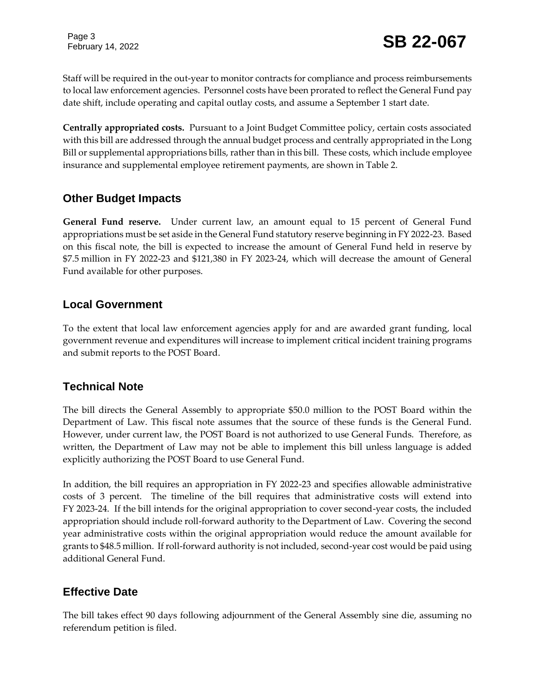Page 3

Staff will be required in the out-year to monitor contracts for compliance and process reimbursements to local law enforcement agencies. Personnel costs have been prorated to reflect the General Fund pay date shift, include operating and capital outlay costs, and assume a September 1 start date.

**Centrally appropriated costs.** Pursuant to a Joint Budget Committee policy, certain costs associated with this bill are addressed through the annual budget process and centrally appropriated in the Long Bill or supplemental appropriations bills, rather than in this bill. These costs, which include employee insurance and supplemental employee retirement payments, are shown in Table 2.

### **Other Budget Impacts**

**General Fund reserve.** Under current law, an amount equal to 15 percent of General Fund appropriations must be set aside in the General Fund statutory reserve beginning in FY 2022-23. Based on this fiscal note, the bill is expected to increase the amount of General Fund held in reserve by \$7.5 million in FY 2022-23 and \$121,380 in FY 2023-24, which will decrease the amount of General Fund available for other purposes.

#### **Local Government**

To the extent that local law enforcement agencies apply for and are awarded grant funding, local government revenue and expenditures will increase to implement critical incident training programs and submit reports to the POST Board.

### **Technical Note**

The bill directs the General Assembly to appropriate \$50.0 million to the POST Board within the Department of Law. This fiscal note assumes that the source of these funds is the General Fund. However, under current law, the POST Board is not authorized to use General Funds. Therefore, as written, the Department of Law may not be able to implement this bill unless language is added explicitly authorizing the POST Board to use General Fund.

In addition, the bill requires an appropriation in FY 2022-23 and specifies allowable administrative costs of 3 percent. The timeline of the bill requires that administrative costs will extend into FY 2023-24. If the bill intends for the original appropriation to cover second-year costs, the included appropriation should include roll-forward authority to the Department of Law. Covering the second year administrative costs within the original appropriation would reduce the amount available for grants to \$48.5 million. If roll-forward authority is not included, second-year cost would be paid using additional General Fund.

### **Effective Date**

The bill takes effect 90 days following adjournment of the General Assembly sine die, assuming no referendum petition is filed.